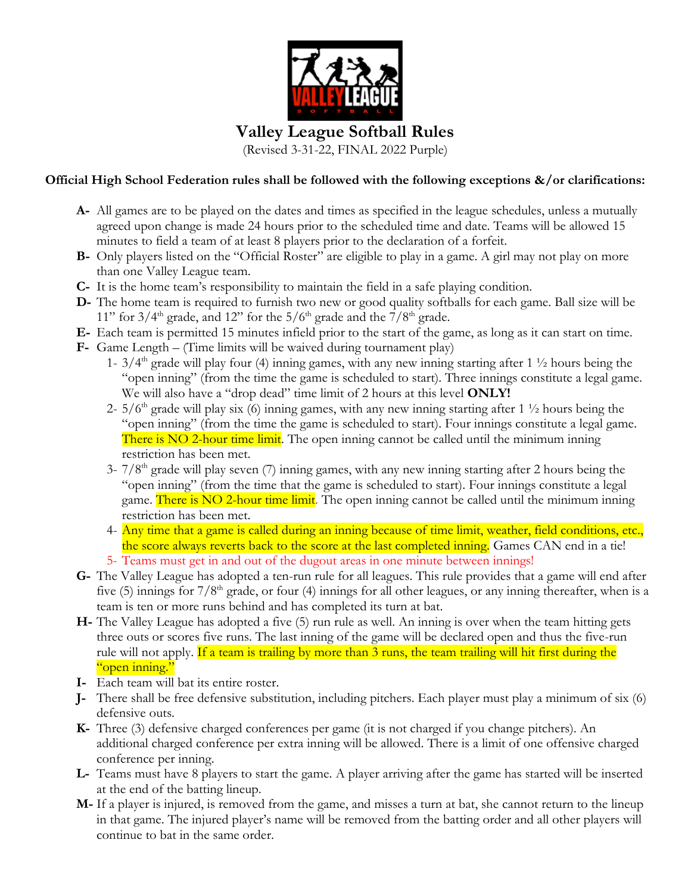

## **Valley League Softball Rules**

(Revised 3-31-22, FINAL 2022 Purple)

## **Official High School Federation rules shall be followed with the following exceptions &/or clarifications:**

- **A-** All games are to be played on the dates and times as specified in the league schedules, unless a mutually agreed upon change is made 24 hours prior to the scheduled time and date. Teams will be allowed 15 minutes to field a team of at least 8 players prior to the declaration of a forfeit.
- **B-** Only players listed on the "Official Roster" are eligible to play in a game. A girl may not play on more than one Valley League team.
- **C-** It is the home team's responsibility to maintain the field in a safe playing condition.
- **D-** The home team is required to furnish two new or good quality softballs for each game. Ball size will be 11" for  $3/4<sup>th</sup>$  grade, and 12" for the  $5/6<sup>th</sup>$  grade and the  $7/8<sup>th</sup>$  grade.
- **E-** Each team is permitted 15 minutes infield prior to the start of the game, as long as it can start on time.
- **F-** Game Length (Time limits will be waived during tournament play)
	- 1-  $3/4<sup>th</sup>$  grade will play four (4) inning games, with any new inning starting after 1  $\frac{1}{2}$  hours being the "open inning" (from the time the game is scheduled to start). Three innings constitute a legal game. We will also have a "drop dead" time limit of 2 hours at this level **ONLY!**
	- 2-  $5/6<sup>th</sup>$  grade will play six (6) inning games, with any new inning starting after 1  $\frac{1}{2}$  hours being the "open inning" (from the time the game is scheduled to start). Four innings constitute a legal game. There is NO 2-hour time limit. The open inning cannot be called until the minimum inning restriction has been met.
	- $3-7/8$ <sup>th</sup> grade will play seven (7) inning games, with any new inning starting after 2 hours being the "open inning" (from the time that the game is scheduled to start). Four innings constitute a legal game. There is NO 2-hour time limit. The open inning cannot be called until the minimum inning restriction has been met.
	- 4- Any time that a game is called during an inning because of time limit, weather, field conditions, etc., the score always reverts back to the score at the last completed inning. Games CAN end in a tie! 5- Teams must get in and out of the dugout areas in one minute between innings!
- **G-** The Valley League has adopted a ten-run rule for all leagues. This rule provides that a game will end after five (5) innings for  $7/8<sup>th</sup>$  grade, or four (4) innings for all other leagues, or any inning thereafter, when is a team is ten or more runs behind and has completed its turn at bat.
- **H-** The Valley League has adopted a five (5) run rule as well. An inning is over when the team hitting gets three outs or scores five runs. The last inning of the game will be declared open and thus the five-run rule will not apply. If a team is trailing by more than 3 runs, the team trailing will hit first during the "open inning."
- **I-** Each team will bat its entire roster.
- **J-** There shall be free defensive substitution, including pitchers. Each player must play a minimum of six (6) defensive outs.
- **K-** Three (3) defensive charged conferences per game (it is not charged if you change pitchers). An additional charged conference per extra inning will be allowed. There is a limit of one offensive charged conference per inning.
- **L-** Teams must have 8 players to start the game. A player arriving after the game has started will be inserted at the end of the batting lineup.
- **M-** If a player is injured, is removed from the game, and misses a turn at bat, she cannot return to the lineup in that game. The injured player's name will be removed from the batting order and all other players will continue to bat in the same order.